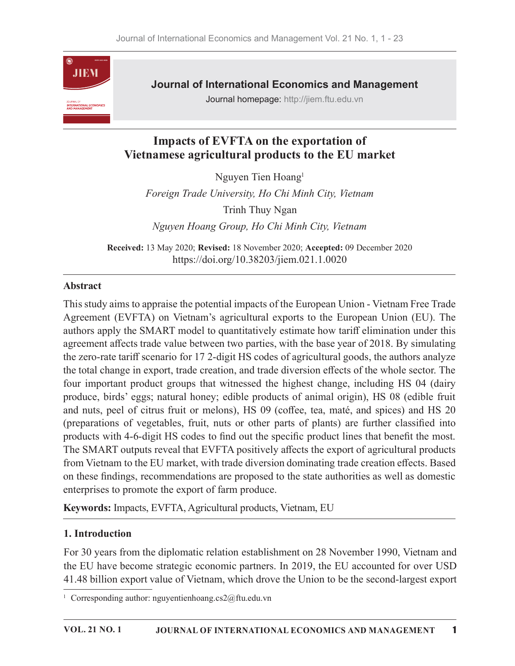

Journal of International Economics and Management

Journal homepage: http://jiem.ftu.edu.vn

# Impacts of EVFTA on the exportation of Vietnamese agricultural products to the EU market

Nguyen Tien Hoang $<sup>1</sup>$ </sup>  $1$ 

Foreign Trade University, Ho Chi Minh City, Vietnam Trinh Thuy Ngan Nguyen Hoang Group, Ho Chi Minh City, Vietnam

Received: 13 May 2020; Revised: 18 November 2020; Accepted: 09 December 2020 https://doi.org/10.38203/jiem.021.1.0020

### Abstract

This study aims to appraise the potential impacts of the European Union - Vietnam Free Trade **Example 11 Impacts of EVFTA on the exportation of**<br> **Sigurent Schemes a gricultural products to the EU market**<br>
Nguyen Tien Hoang<sup>1</sup><br> *Foreign Trade University, Ho Chi Minh City, Vietnam*<br>
Trinh Thuy Ngan<br> *Nguyen Hoang G* authors apply the SMART model to quantitatively estimate how tariff elimination under this agreement affects trade value between two parties, with the base year of 2018. By simulating the zero-rate tariff scenario for 17 2-digit HS codes of agricultural goods, the authors analyze the total change in export, trade creation, and trade diversion effects of the whole sector. The four important product groups that witnessed the highest change, including HS 04 (dairy produce, birds' eggs; natural honey; edible products of animal origin), HS 08(edible fruit and nuts, peel of citrus fruit or melons), HS 09 (coffee, tea, maté, and spices) and HS 20 (preparations of vegetables, fruit, nuts or other parts of plants) are further classified into products with 4-6-digit HS codes to find out the specific product lines that benefit the most. The SMART outputs reveal that EVFTA positively affects the export of agricultural products from Vietnam to the EU market, with trade diversion dominating trade creation effects. Based on these findings, recommendations are proposed to the state authorities as well as domestic enterprises to promote the export of farm produce.

Keywords: Impacts, EVFTA, Agricultural products, Vietnam, EU

### 1. Introduction

For 30 years from the diplomatic relation establishment on 28 November 1990, Vietnam and the EU have become strategic economic partners. In 2019, the EU accounted for over USD 41.48 billion export value of Vietnam, which drove the Union to be the second-largest export

<sup>1</sup> Corresponding author: nguyentienhoang.cs2@ftu.edu.vn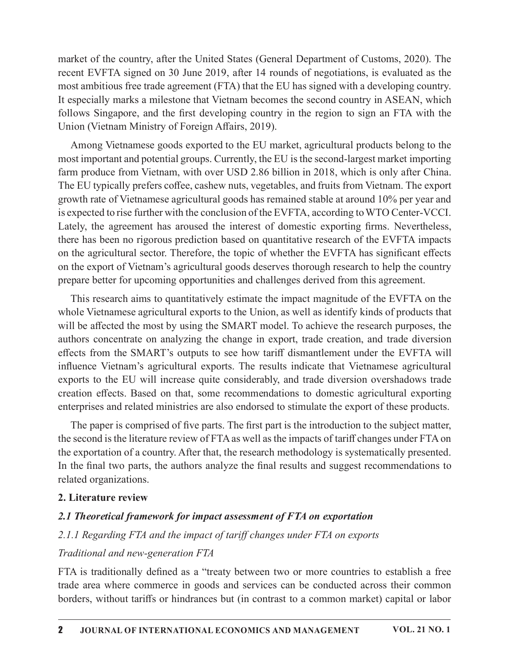market of the country, after the United States (General Department of Customs, 2020). The recent EVFTA signed on 30 June 2019, after 14 rounds of negotiations, is evaluated as the most ambitious free trade agreement (FTA) that the EU has signed with a developing country. It especially marks a milestone that Vietnam becomes the second country in ASEAN, which follows Singapore, and the first developing country in the region to sign an FTA with the Union (Vietnam Ministry of Foreign Affairs, 2019).

Among Vietnamese goods exported to the EU market, agricultural products belong to the most important and potential groups. Currently, the EU is the second-largest market importing farm produce from Vietnam, with over USD 2.86 billion in 2018, which is only after China. The EU typically prefers coffee, cashew nuts, vegetables, and fruits from Vietnam. The export growth rate of Vietnamese agricultural goods has remained stable at around 10% per year and is expected to rise further with the conclusion of the EVFTA, according to WTO Center-VCCI. Lately, the agreement has aroused the interest of domestic exporting firms. Nevertheless, there has been no rigorous prediction based on quantitative research of the EVFTA impacts on the agricultural sector. Therefore, the topic of whether the EVFTA has significant effects on the export of Vietnam's agricultural goods deserves thorough research to help the country prepare better for upcoming opportunities and challenges derived from this agreement.

This research aims to quantitatively estimate the impact magnitude of the EVFTA on the whole Vietnamese agricultural exports to the Union, as well as identify kinds of products that will be affected the most by using the SMART model. To achieve the research purposes, the authors concentrate on analyzing the change in export, trade creation, and trade diversion effects from the SMART's outputs to see how tariff dismantlement under the EVFTA will influence Vietnam's agricultural exports. The results indicate that Vietnamese agricultural exports to the EU will increase quite considerably, and trade diversion overshadows trade creation effects. Based on that, some recommendations to domestic agricultural exporting enterprises and related ministries are also endorsed to stimulate the export of these products.

The paper is comprised of five parts. The first part is the introduction to the subject matter, the second is the literature review of FTA as well as the impacts of tariff changes under FTA on the exportation of a country. After that, the research methodology is systematically presented. In the final two parts, the authors analyze the final results and suggest recommendations to related organizations.

### 2. Literature review

### 2.1 Theoretical framework for impact assessment of FTA on exportation

### 2.1.1 Regarding FTA and the impact of tariff changes under FTA on exports

### Traditional and new-generation FTA

FTA is traditionally defined as a "treaty between two or more countries to establish a free trade area where commerce in goods and services can be conducted across their common borders, without tariffs or hindrances but (in contrast to a common market) capital or labor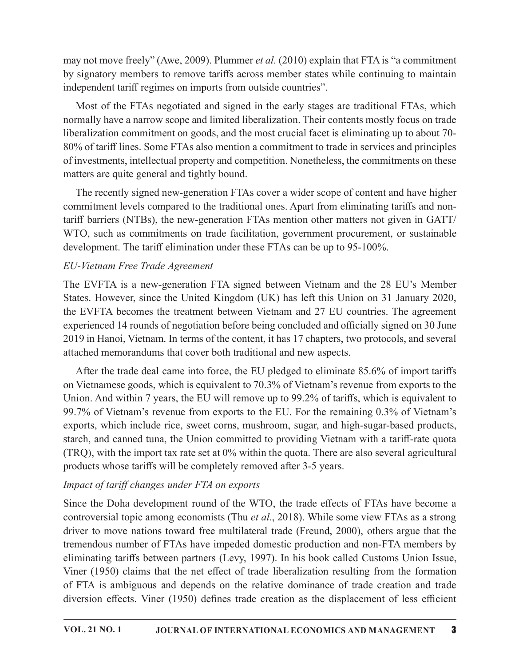may not move freely" (Awe, 2009). Plummer et al. (2010) explain that FTA is "a commitment by signatory members to remove tariffs across member states while continuing to maintain independent tariff regimes on imports from outside countries".

Most of the FTAs negotiated and signed in the early stages are traditional FTAs, which normally have a narrow scope and limited liberalization. Their contents mostly focus on trade liberalization commitment on goods, and the most crucial facet is eliminating up to about 70-80% of tariff lines. Some FTAs also mention a commitment to trade in services and principles of investments, intellectual property and competition. Nonetheless, the commitments on these matters are quite general and tightly bound. by signatory incrudes to charge trains across incircle and spin independent tariff regimes on imports from outside countries".<br>
Most of the FTAs negotiated and signed in the early stages are traditional FTAs, which normal

The recently signed new-generation FTAs cover a wider scope of content and have higher commitment levels compared to the traditional ones. Apart from eliminating tariffs and nontariff barriers (NTBs), the new-generation FTAs mention other matters not given in GATT/ WTO, such as commitments on trade facilitation, government procurement, or sustainable development. The tariff elimination under these FTAs can be up to 95-100%.

## EU-Vietnam Free Trade Agreement

States. However, since the United Kingdom (UK) has left this Union on 31 January 2020, the EVFTA becomes the treatment between Vietnam and 27 EU countries. The agreement experienced 14 rounds of negotiation before being concluded and officially signed on 30 June 2019 in Hanoi, Vietnam. In terms of the content, ithas 17 chapters, two protocols, and several attached memorandums that cover both traditional and new aspects.

After the trade deal came into force, the EU pledged to eliminate  $85.6\%$  of import tariffs on Vietnamese goods, which is equivalent to 70.3% of Vietnam's revenue from exports to the Union. And within 7 years, the EU will remove up to 99.2% of tariffs, which is equivalent to 99.7% of Vietnam's revenue from exports to the EU. For the remaining 0.3% of Vietnam's exports, which include rice, sweet corns, mushroom, sugar, and high-sugar-based products, starch, and canned tuna, the Union committed to providing Vietnam with a tariff-rate quota (TRQ), with the import tax rate set at 0% within the quota. There are also several agricultural products whose tariffs will be completely removed after 3-5 years.

## Impact of tariff changes under FTA on exports

Since the Doha development round of the WTO, the trade effects of FTAs have become a controversial topic among economists (Thu *et al.*, 2018). While some view FTAs as a strong driver to move nations toward free multilateral trade (Freund, 2000), others argue that the tremendous number of FTAs have impeded domestic production and non-FTA members by eliminating tariffs between partners (Levy, 1997). In his book called Customs Union Issue, Viner (1950) claims that the net effect of trade liberalization resulting from the formation on Vietnamese goods, which is equivalent to 70.3% of Vietnam's revenue from exports to the Union. And within 7 years, the EU will remove up to 99.2% of tariffs, which is equivalent to 99.7% of Vietnam's exports, which incl diversion effects. Viner (1950) defines trade creation as the displacement of less efficient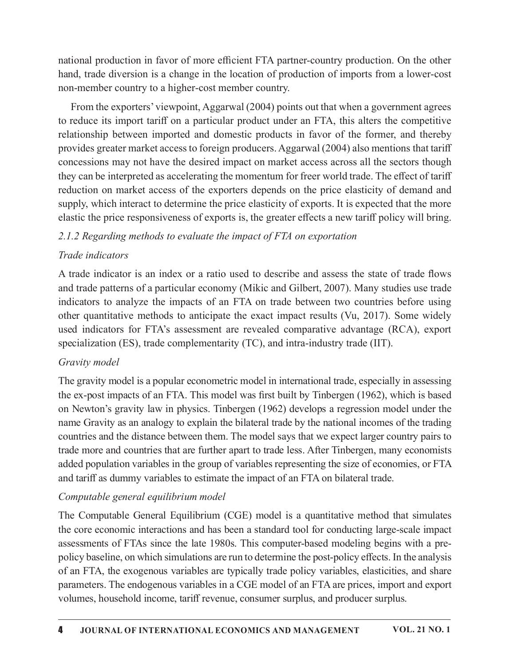national production in favor of more efficient FTA partner-country production. On the other hand, trade diversion is a change in the location of production of imports from a lower-cost non-member country to a higher-cost member country.

From the exporters' viewpoint, Aggarwal (2004) points out that when a government agrees to reduce its import tariff on a particular product under an FTA, this alters the competitive relationship between imported and domestic products in favor of the former, and thereby provides greater market access to foreign producers. Aggarwal (2004) also mentions that tariff concessions may not have the desired impact on market access across all the sectors though they can be interpreted as accelerating the momentum for freer world trade. The effect of tariff reduction on market access of the exporters depends on the price elasticity of demand and supply, which interact to determine the price elasticity of exports. It is expected that the more elastic the price responsiveness of exports is, the greater effects a new tariff policy will bring. From the exporters' viewpoint, Aggarwal (2004) points out that when a government agrees<br>to reduce its import tariff on a particular product under an FTA, this alters the competitive<br>playiodes greater market access to fore

### 2.1.2 Regarding methods to evaluate the impact of FTA on exportation

### Trade indicators

A trade indicator is an index or a ratio used to describe and assess the state of trade flows and trade patterns of a particular economy (Mikic and Gilbert, 2007). Many studies use trade other quantitative methods to anticipate the exact impact results (Vu, 2017). Some widely used indicators for FTA's assessment are revealed comparative advantage (RCA), export specialization (ES), trade complementarity (TC), and intra-industry trade (IIT).

## Gravity model

The gravity model is a popular econometric model in international trade, especially in assessing the ex-post impacts of an FTA. This model was first built by Tinbergen (1962), which is based on Newton's gravity law in physics.Tinbergen (1962) develops a regression model under the name Gravity as an analogy to explain the bilateral trade by the national incomes of the trading countries and the distance between them. The model says that we expect larger country pairs to trade more and countries that are further apart to trade less. After Tinbergen, many economists added population variables in the group of variables representing the size of economies, or FTA and tariff as dummy variables to estimate the impact of an FTA on bilateral trade.

## Computable general equilibrium model

The Computable General Equilibrium (CGE) model is a quantitative method that simulates the core economic interactions and has been a standard tool for conducting large-scale impact assessments of FTAs since the late 1980s. This computer-based modeling begins with a prepolicy baseline, on which simulations are run to determine the post-policy effects. In the analysis of an FTA, the exogenous variables are typically trade policy variables, elasticities, and share parameters. The endogenous variables in a CGE model of an FTA are prices, import and export volumes, household income, tariff revenue, consumer surplus, and producer surplus.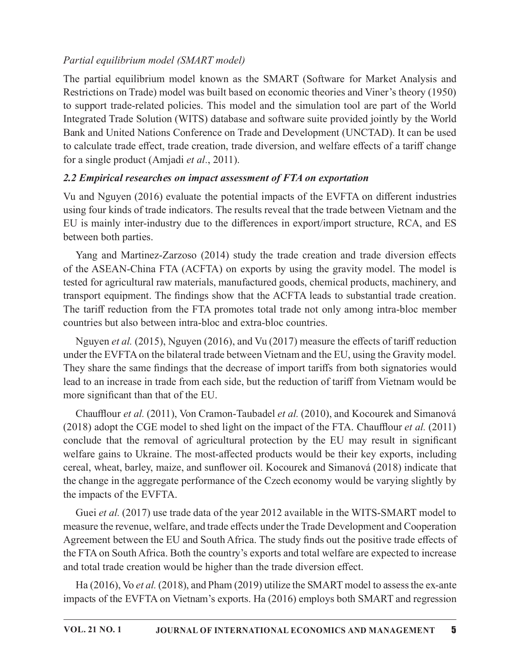# Partial equilibrium model (SMART model)

Partial equilibrium model (SMART model)<br>The partial equilibrium model known as the SMART (Software for Market Analysis and<br>Restrictions on Trade) model was built based on economic theories and Viner's theory (1950)<br>to supp Restrictions on Trade) model was built based on economic theories and Viner's theory (1950) to support trade-related policies. This model and the simulation tool are part of the World Integrated Trade Solution (WITS) database and software suite provided jointly by the World Bank and United Nations Conference on Trade and Development (UNCTAD). It can be used to calculate trade effect, trade creation, trade diversion, and welfare effects of a tariff change for a single product (Amjadi *et al.*, 2011).

# 2.2 Empirical researches on impact assessment of FTA on exportation

Vu and Nguyen (2016) evaluate the potential impacts of the EVFTA on different industries using four kinds of trade indicators. The results reveal that the trade between Vietnam and the EU is mainly inter-industry due to the differences in export/import structure, RCA, and ES between both parties.

Yang and Martinez-Zarzoso (2014) study the trade creation and trade diversion effects of the ASEAN-China FTA (ACFTA) on exports by using the gravity model. The model is tested for agricultural raw materials, manufactured goods, chemical products, machinery, and transport equipment. The findings show that the ACFTA leads to substantial trade creation. The tariff reduction from the FTA promotes total trade not only among intra-bloc member countries but also between intra-bloc and extra-bloc countries.

Nguyen *et al.* (2015), Nguyen (2016), and Vu (2017) measure the effects of tariff reduction under the EVFTA on the bilateral trade between Vietnam and the EU, using the Gravity model. They share the same findings that the decrease of import tariffs from both signatories would lead to an increase in trade from each side, but the reduction of tariff from Vietnam would be more significant than that of the EU.

Chaufflour et al. (2011), Von Cramon-Taubadel et al. (2010), and Kocourek and Simanová (2018) adopt the CGE model to shed light on the impact of the FTA. Chaufflour *et al.* (2011) conclude that the removal of agricultural protection by the EU may result in significant welfare gains to Ukraine. The most-affected products would be their key exports, including cereal, wheat, barley, maize, and sunflower oil. Kocourek and Simanová (2018) indicate that the change in the aggregate performance of the Czech economy would be varying slightly by the impacts of the EVFTA.

Guei et al. (2017) use trade data of the year 2012 available in the WITS-SMART model to measure the revenue, welfare, and trade effects under the Trade Development and Cooperation Agreement between the EU and South Africa. The study finds out the positive trade effects of the FTA on South Africa. Both the country's exports and total welfare are expected to increase and total trade creation would be higher than the trade diversion effect.

Ha (2016), Vo et al. (2018), and Pham (2019) utilize the SMART model to assess the ex-ante impacts of the EVFTA on Vietnam's exports. Ha (2016) employs both SMART and regression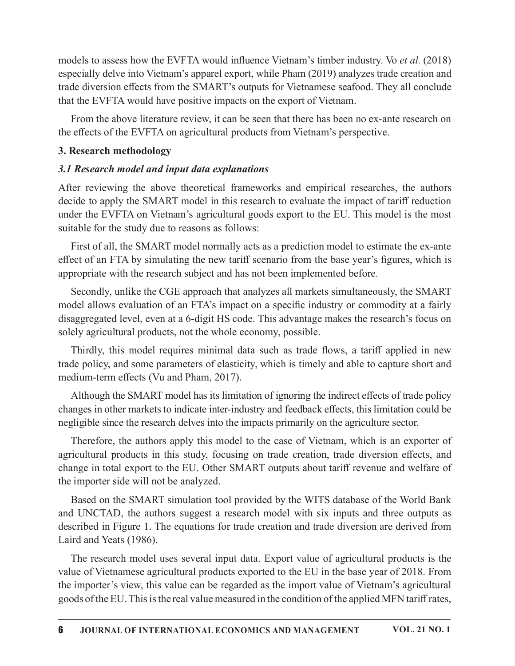models to assess how the EVFTA would influence Vietnam's timber industry. Vo *et al.* (2018) especially delve into Vietnam's apparel export, while Pham (2019) analyzes trade creation and trade diversion effects from the SMART's outputs for Vietnamese seafood. They all conclude that the EVFTA would have positive impacts on the export of Vietnam.

From the above literature review, it can be seen that there has been no ex-ante research on the effects of the EVFTA on agricultural products from Vietnam's perspective.

### 3. Research methodology

### 3.1 Research model and input data explanations

After reviewing the above theoretical frameworks and empirical researches, the authors decide to apply the SMART model in this research to evaluate the impact of tariff reduction under the EVFTA on Vietnam's agricultural goods export to the EU. This model is the most suitable for the study due to reasons as follows:

First of all, the SMART model normally acts as a prediction model to estimate the ex-ante effect of an FTA by simulating the new tariff scenario from the base year's figures, which is appropriate with the research subject and has not been implemented before.

Secondly, unlike the CGE approach that analyzes all markets simultaneously, the SMART model allows evaluation of an FTA's impact on a specific industry or commodity at a fairly disaggregated level, even at a 6-digit HS code. This advantage makes the research's focus on solely agricultural products, not the whole economy, possible. Research methodology<br>
Research model and input data explanations<br>
ter reviewing the above theoretical frameworks and empirical researches, the authors<br>
ide to apply the SMART model in this research to evaluate the impact o

trade policy, and some parameters of elasticity, which is timely and able to capture short and medium-term effects (Vu and Pham, 2017).

Although the SMART model has its limitation of ignoring the indirect effects of trade policy changes in other markets to indicate inter-industry and feedback effects, this limitation could be negligible since the research delves into the impacts primarily on the agriculture sector.

Therefore, the authors apply this model to the case of Vietnam, which is an exporter of agricultural products in this study, focusing on trade creation, trade diversion effects, and change in total export to the EU. Other SMART outputs about tariff revenue and welfare of the importer side will not be analyzed.

Based on the SMART simulation tool provided by the WITS database of the World Bank and UNCTAD, the authors suggest a research model with six inputs and three outputs as described in Figure 1. The equations for trade creation and trade diversion are derived from Laird and Yeats (1986).

The research model uses several input data. Export value of agricultural products is the value of Vietnamese agricultural products exported to the EU in the base year of 2018. From the importer's view, this value can be regarded as the import value of Vietnam's agricultural goods of the EU. This is the real value measured in the condition of the applied MFN tariff rates,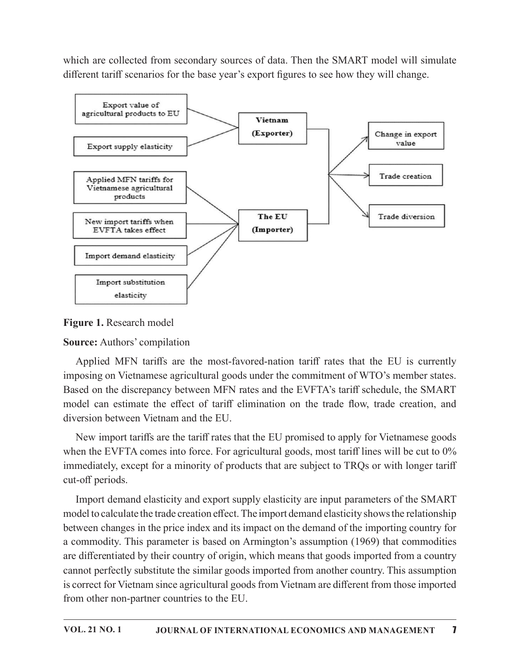which are collected from secondary sources of data. Then the SMART model will simulate different tariff scenarios for the base year's export figures to see how they will change.



Figure 1. Research model

**Source:** Authors' compilation

Applied MFN tariffs are the most-favored-nation tariff rates that the EU is currently imposing on Vietnamese agricultural goods under the commitment of WTO's member states. Based on the discrepancy between MFN rates and the EVFTA's tariff schedule, the SMART model can estimate the effect of tariff elimination on the trade flow, trade creation, and diversion between Vietnam and the EU.

New import tariffs are the tariff rates that the EU promised to apply for Vietnamese goods when the EVFTA comes into force. For agricultural goods, most tariff lines will be cut to  $0\%$ immediately, except for a minority of products that are subject to TRQs or with longer tariff cut-off periods.

Import demand elasticity and export supply elasticity are input parameters of the SMART model to calculate the trade creation effect. The import demand elasticity shows the relationship between changes in the price index and its impact on the demand of the importing country for a commodity. This parameter is based on Armington's assumption (1969) that commodities are differentiated by their country of origin, which means that goods imported from a country cannot perfectly substitute the similar goods imported from another country. This assumption is correct for Vietnam since agricultural goods from Vietnam are different from those imported from other non-partner countries to the EU.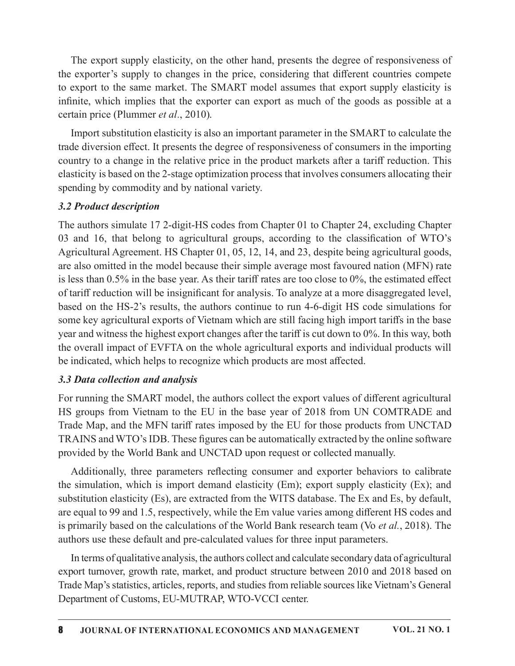The export supply elasticity, on the other hand, presents the degree of responsiveness of the exporter's supply to changes in the price, considering that different countries compete to export to the same market. The SMART model assumes that export supply elasticity is infinite, which implies that the exporter can export as much of the goods as possible at a certain price (Plummer et al., 2010).

Import substitution elasticity is also an important parameter in the SMART to calculate the trade diversion effect. It presents the degree of responsiveness of consumers in the importing country to a change in the relative price in the product markets after a tariff reduction. This elasticity is based on the 2-stage optimization process that involves consumers allocating their spending by commodity and by national variety.

### 3.2 Product description

The authors simulate 17 2-digit-HS codes from Chapter 01 to Chapter 24, excluding Chapter 03 and 16, that belong to agricultural groups, according to the classification of  $WTO's$ Agricultural Agreement. HS Chapter 01, 05, 12, 14, and 23, despite being agricultural goods, are also omitted in the model because their simple average most favoured nation (MFN) rate is less than  $0.5\%$  in the base year. As their tariff rates are too close to  $0\%$ , the estimated effect of tariff reduction will be insignificant for analysis. To analyze at a more disaggregated level, based on the HS-2's results, the authors continue to run 4-6-digit HS code simulations for some key agricultural exports of Vietnam which are still facing high import tariffs in the base year and witness the highest export changes after the tariff is cut down to 0%. In this way, both the overall impact of EVFTA on the whole agricultural exports and individual products will be indicated, which helps to recognize which products are most affected.

### 3.3 Data collection and analysis

For running the SMART model, the authors collect the export values of different agricultural HS groups from Vietnam to the EU in the base year of 2018 from UN COMTRADE and Trade Map, and the MFN tariff rates imposed by the EU for those products from UNCTAD TRAINS and WTO's IDB. These figures can be automatically extracted by the online software provided by the World Bank and UNCTAD upon request or collected manually.

Additionally, three parameters reflecting consumer and exporter behaviors to calibrate the simulation, which is import demand elasticity (Em); export supply elasticity (Ex); and substitution elasticity (Es), are extracted from the WITS database. The Ex and Es, by default, are equal to 99 and 1.5, respectively, while the Em value varies among different HS codes and is primarily based on the calculations of the World Bank research team (Vo et al., 2018). The authors use these default and pre-calculated values for three input parameters.

In terms of qualitative analysis, the authors collectand calculate secondary data of agricultural export turnover, growth rate, market, and product structure between 2010 and 2018 based on Trade Map's statistics, articles, reports, and studies from reliable sources like Vietnam's General Department of Customs, EU-MUTRAP, WTO-VCCI center.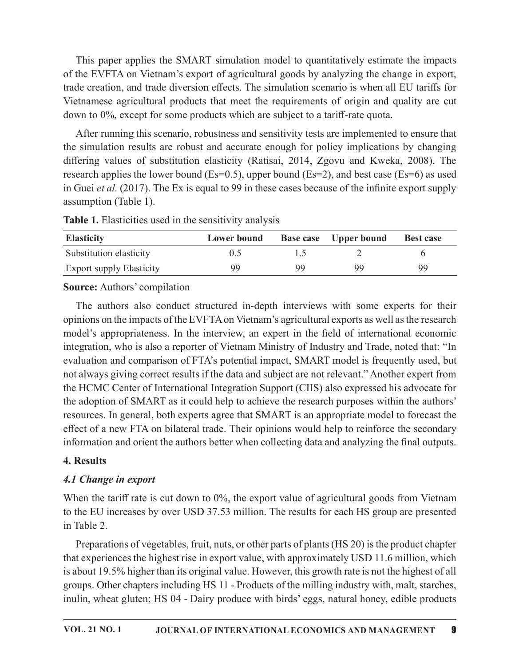This paper applies the SMART simulation model to quantitatively estimate the impacts of the EVFTA on Vietnam's export of agricultural goods by analyzing thechange in export, trade creation, and trade diversion effects. The simulation scenario is when all EU tariffs for This paper applies the SMART simulation model to quantitatively estimate the impacts of the EVFTA on Vietnam's export of agricultural goods by analyzing the change in export, trade creation, and trade diversion effects. Th down to 0%, except for some products which are subject to a tariff-rate quota.

After running this scenario, robustness and sensitivity tests are implemented to ensure that the simulation results are robust and accurate enough for policy implications by changing differing values of substitution elasticity (Ratisai, 2014, Zgovu and Kweka, 2008). The research applies the lower bound (Es=0.5), upper bound (Es=2), and best case (Es=6) as used in Guei *et al.* (2017). The Ex is equal to 99 in these cases because of the infinite export supply assumption (Table 1). This paper applies the SMART simulation model to quantitatively estimate the impacts<br>
of the EVFTA on Vietnam's export of agricultural goods by analyzing the change in export,<br>
rade creation, and trade diversion effects. This paper applies the SMART simulation model to quantitatively estimate the impacts<br>of the EVFTA on Vietnam's export of agricultural goods by analyzing the change in export,<br>rade creation, and trade diversion effects. Th This paper applies the SMAKI simulation model to quantitatively estimate the impacts<br>of the EVFTA on Vietnam's export of agricultural goods by analyzing the change in export,<br>rade creation, and trade diversion effects. Th thamese agricultural products that meet the requirements of origin and quality are cut<br>nto 0%, except for some products which are subject to a tariff-rate quota.<br>After running this scenario, robustness and sensitivity tes

| <b>Elasticity</b>               | <b>Lower bound</b> |    | <b>Base case</b> Upper bound | <b>Best case</b> |
|---------------------------------|--------------------|----|------------------------------|------------------|
| Substitution elasticity         | 0.5                |    |                              |                  |
| <b>Export supply Elasticity</b> | 99.                | 99 | 99                           | 99               |

**Table 1.** Elasticities used in the sensitivity analysis

### Source: Authors' compilation

opinions on the impacts of the EVFTA on Vietnam's agricultural exports as well as the research model's appropriateness. In the interview, an expert in the field of international economic integration, who is also a reporter of Vietnam Ministry of Industry and Trade, noted that: "In evaluation and comparison of FTA's potential impact, SMART model is frequently used, but not always giving correct results if the data and subject are not relevant." Another expert from the HCMC Center of International Integration Support (CIIS) also expressed his advocate for the adoption of SMART as it could help to achieve the research purposes within the authors' resources. In general, both experts agree that SMART is an appropriate model to forecast the effect of a new FTA on bilateral trade. Their opinions would help to reinforce the secondary information and orient the authors better when collecting data and analyzing the final outputs.

### 4. Results

## 4.1 Change in export

When the tariff rate is cut down to  $0\%$ , the export value of agricultural goods from Vietnam to the EU increases by over USD 37.53 million. The results for each HS group are presented in Table 2.

Preparations of vegetables, fruit, nuts, or other parts of plants (HS 20) is the product chapter that experiences the highest rise in export value, with approximately USD 11.6 million, which is about 19.5% higher than its original value. However, this growth rate is not the highest of all groups. Other chapters including HS 11 - Products of the milling industry with, malt, starches, inulin, wheat gluten; HS 04 - Dairy produce with birds' eggs, natural honey, edible products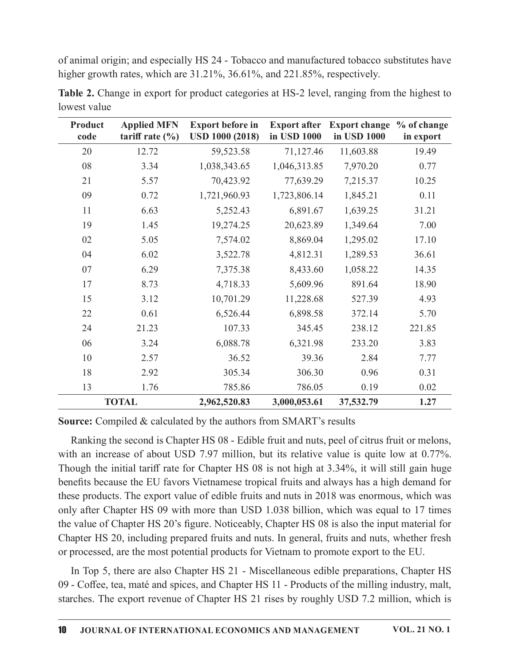of animal origin; and especially HS 24 - Tobacco and manufactured tobacco substitutes have higher growth rates, which are 31.21%, 36.61%, and 221.85%, respectively.

| <b>Product</b><br>code | <b>Applied MFN</b><br>tariff rate $(\% )$ | <b>Export before in</b><br><b>USD 1000 (2018)</b> | <b>Export after</b><br>in USD 1000 | <b>Export change</b><br>in USD 1000 | % of change<br>in export |
|------------------------|-------------------------------------------|---------------------------------------------------|------------------------------------|-------------------------------------|--------------------------|
| 20                     | 12.72                                     | 59,523.58                                         | 71,127.46                          | 11,603.88                           | 19.49                    |
| 08                     | 3.34                                      | 1,038,343.65                                      | 1,046,313.85                       | 7,970.20                            | 0.77                     |
| 21                     | 5.57                                      | 70,423.92                                         | 77,639.29                          | 7,215.37                            | 10.25                    |
| 09                     | 0.72                                      | 1,721,960.93                                      | 1,723,806.14                       | 1,845.21                            | 0.11                     |
| 11                     | 6.63                                      | 5,252.43                                          | 6,891.67                           | 1,639.25                            | 31.21                    |
| 19                     | 1.45                                      | 19,274.25                                         | 20,623.89                          | 1,349.64                            | 7.00                     |
| 02                     | 5.05                                      | 7,574.02                                          | 8,869.04                           | 1,295.02                            | 17.10                    |
| 04                     | 6.02                                      | 3,522.78                                          | 4,812.31                           | 1,289.53                            | 36.61                    |
| 07                     | 6.29                                      | 7,375.38                                          | 8,433.60                           | 1,058.22                            | 14.35                    |
| 17                     | 8.73                                      | 4,718.33                                          | 5,609.96                           | 891.64                              | 18.90                    |
| 15                     | 3.12                                      | 10,701.29                                         | 11,228.68                          | 527.39                              | 4.93                     |
| 22                     | 0.61                                      | 6,526.44                                          | 6,898.58                           | 372.14                              | 5.70                     |
| 24                     | 21.23                                     | 107.33                                            | 345.45                             | 238.12                              | 221.85                   |
| 06                     | 3.24                                      | 6,088.78                                          | 6,321.98                           | 233.20                              | 3.83                     |
| 10                     | 2.57                                      | 36.52                                             | 39.36                              | 2.84                                | 7.77                     |
| 18                     | 2.92                                      | 305.34                                            | 306.30                             | 0.96                                | 0.31                     |
| 13                     | 1.76                                      | 785.86                                            | 786.05                             | 0.19                                | 0.02                     |
|                        | <b>TOTAL</b>                              | 2,962,520.83                                      | 3,000,053.61                       | 37,532.79                           | 1.27                     |

Table 2. Change in export for product categories at HS-2 level, ranging from the highest to lowest value

**Source:** Compiled & calculated by the authors from SMART's results

Ranking the second is Chapter HS 08 - Edible fruit and nuts, peel of citrus fruit or melons, with an increase of about USD 7.97 million, but its relative value is quite low at 0.77%. Though the initial tariff rate for Chapter HS 08 is not high at 3.34%, it will still gain huge benefits because the EU favors Vietnamese tropical fruits and always has a high demand for these products. The export value of edible fruits and nuts in 2018 was enormous, which was only after Chapter HS 09 with more than USD 1.038 billion, which was equal to 17 times the value of Chapter HS 20's figure. Noticeably, Chapter HS 08 is also the input material for Chapter HS 20, including prepared fruits and nuts. In general, fruits and nuts, whether fresh or processed, are the most potential products for Vietnam to promote export to the EU.

In Top 5, there are also Chapter HS 21 - Miscellaneous edible preparations, Chapter HS 09 - Coffee, tea, maté and spices, and Chapter HS 11 - Products of the milling industry, malt, starches. The export revenue of Chapter HS 21 rises by roughly USD 7.2 million, which is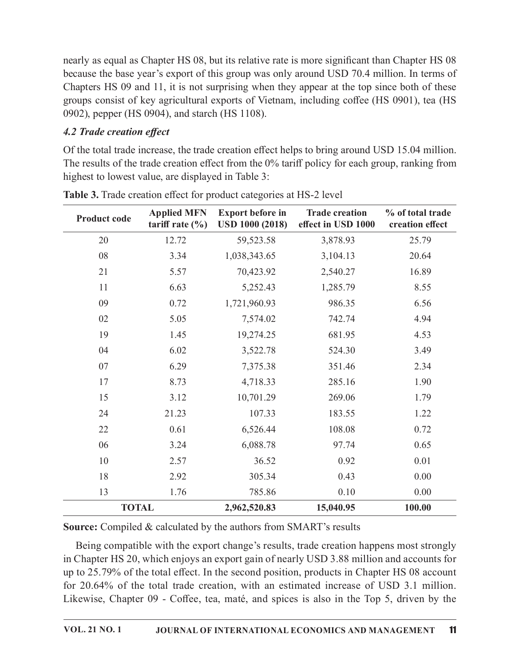## 4.2 Trade creation effect

|                                  |                                                    | 0902), pepper (HS 0904), and starch (HS 1108).                      |                                                                                                                                                                                                    |                                     |
|----------------------------------|----------------------------------------------------|---------------------------------------------------------------------|----------------------------------------------------------------------------------------------------------------------------------------------------------------------------------------------------|-------------------------------------|
| <b>4.2 Trade creation effect</b> |                                                    |                                                                     |                                                                                                                                                                                                    |                                     |
|                                  |                                                    |                                                                     | Of the total trade increase, the trade creation effect helps to bring around USD 15.04 million.<br>The results of the trade creation effect from the 0% tariff policy for each group, ranking from |                                     |
|                                  | highest to lowest value, are displayed in Table 3: |                                                                     |                                                                                                                                                                                                    |                                     |
|                                  |                                                    | Table 3. Trade creation effect for product categories at HS-2 level |                                                                                                                                                                                                    |                                     |
| <b>Product code</b>              | <b>Applied MFN</b><br>tariff rate $(\% )$          | <b>Export before in</b><br><b>USD 1000 (2018)</b>                   | <b>Trade creation</b><br>effect in USD 1000                                                                                                                                                        | % of total trade<br>creation effect |
| 20                               | 12.72                                              | 59,523.58                                                           | 3,878.93                                                                                                                                                                                           | 25.79                               |
| 08                               | 3.34                                               | 1,038,343.65                                                        | 3,104.13                                                                                                                                                                                           | 20.64                               |
| 21                               | 5.57                                               | 70,423.92                                                           | 2,540.27                                                                                                                                                                                           | 16.89                               |
| 11                               | 6.63                                               | 5,252.43                                                            | 1,285.79                                                                                                                                                                                           | 8.55                                |
| 09                               | 0.72                                               | 1,721,960.93                                                        | 986.35                                                                                                                                                                                             | 6.56                                |
| 02                               | 5.05                                               | 7,574.02                                                            | 742.74                                                                                                                                                                                             | 4.94                                |
| 19                               | 1.45                                               | 19,274.25                                                           | 681.95                                                                                                                                                                                             | 4.53                                |
| 04                               | 6.02                                               | 3,522.78                                                            | 524.30                                                                                                                                                                                             | 3.49                                |
| 07                               | 6.29                                               | 7,375.38                                                            | 351.46                                                                                                                                                                                             | 2.34                                |
| 17                               | 8.73                                               | 4,718.33                                                            | 285.16                                                                                                                                                                                             | 1.90                                |
| 15                               | 3.12                                               | 10,701.29                                                           | 269.06                                                                                                                                                                                             | 1.79                                |
| 24                               | 21.23                                              | 107.33                                                              | 183.55                                                                                                                                                                                             | 1.22                                |
| 22                               | 0.61                                               | 6,526.44                                                            | 108.08                                                                                                                                                                                             | 0.72                                |
| 06                               | 3.24                                               | 6,088.78                                                            | 97.74                                                                                                                                                                                              | 0.65                                |
| 10                               | 2.57                                               | 36.52                                                               | 0.92                                                                                                                                                                                               | 0.01                                |
| 18                               | 2.92                                               | 305.34                                                              | 0.43                                                                                                                                                                                               | 0.00                                |
| 13                               | 1.76                                               | 785.86                                                              | 0.10                                                                                                                                                                                               | 0.00                                |
| <b>TOTAL</b>                     |                                                    | 2,962,520.83                                                        | 15,040.95                                                                                                                                                                                          | 100.00                              |

Table 3. Trade creation effect for product categories at HS-2 level

Being compatible with the export change's results, trade creation happens most strongly in Chapter HS 20, which enjoys an export gain of nearly USD 3.88 million and accounts for up to 25.79% of the total effect. In the second position, products in Chapter HS 08 account for 20.64% of the total trade creation, with an estimated increase of USD 3.1 million. Likewise, Chapter 09 - Coffee, tea, maté, and spices is also in the Top 5, driven by the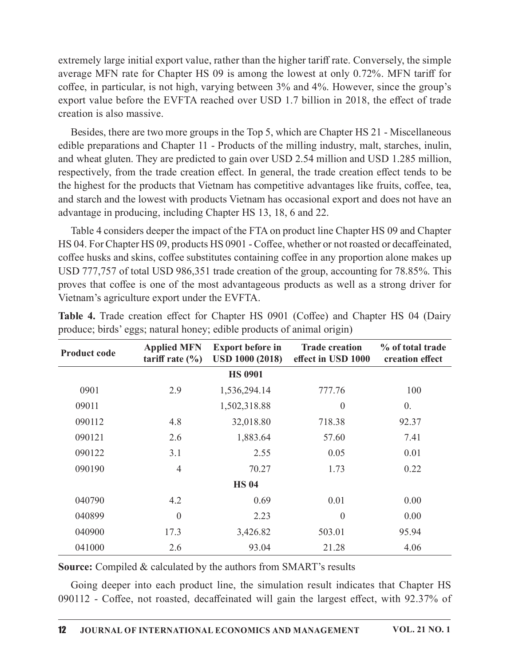extremely large initial export value, rather than the higher tariff rate. Conversely, the simple average MFN rate for Chapter HS 09 is among the lowest at only  $0.72\%$ . MFN tariff for coffee, in particular, is not high, varying between 3% and 4%. However, since the group's export value before the EVFTA reached over USD 1.7 billion in 2018, the effect of trade creation is also massive.

Besides, there are two more groups in the Top 5, which are Chapter HS 21 - Miscellaneous edible preparations and Chapter 11 - Products of the milling industry, malt, starches, inulin, and wheat gluten. They are predicted to gain over USD 2.54 million and USD 1.285 million, respectively, from the trade creation effect. In general, the trade creation effect tends to be the highest for the products that Vietnam has competitive advantages like fruits, coffee, tea, and starch and the lowest with products Vietnam has occasional export and does not have an advantage in producing, including Chapter HS 13, 18, 6 and 22. creation is also massive.<br>
Besides, there are two more groups in the Top 5, which are Chapter HS 21 - Miscellaneous<br>
and wheat gluten. They are predicted to gain over USD 2.54 million and USD 1.285 million,<br>
and wheat glut

|                     |                                               | advantage in producing, including Chapter HS 13, 18, 6 and 22.         | the highest for the products that Vietnam has competitive advantages like fruits, coffee, tea,<br>and starch and the lowest with products Vietnam has occasional export and does not have an                                                                                                                                                                                                                                                                                          |                                     |
|---------------------|-----------------------------------------------|------------------------------------------------------------------------|---------------------------------------------------------------------------------------------------------------------------------------------------------------------------------------------------------------------------------------------------------------------------------------------------------------------------------------------------------------------------------------------------------------------------------------------------------------------------------------|-------------------------------------|
|                     | Vietnam's agriculture export under the EVFTA. |                                                                        | Table 4 considers deeper the impact of the FTA on product line Chapter HS 09 and Chapter<br>HS 04. For Chapter HS 09, products HS 0901 - Coffee, whether or not roasted or decaffeinated,<br>coffee husks and skins, coffee substitutes containing coffee in any proportion alone makes up<br>USD 777,757 of total USD 986,351 trade creation of the group, accounting for 78.85%. This<br>proves that coffee is one of the most advantageous products as well as a strong driver for |                                     |
|                     |                                               | produce; birds' eggs; natural honey; edible products of animal origin) | Table 4. Trade creation effect for Chapter HS 0901 (Coffee) and Chapter HS 04 (Dairy                                                                                                                                                                                                                                                                                                                                                                                                  |                                     |
| <b>Product code</b> | <b>Applied MFN</b><br>tariff rate $(\% )$     | <b>Export before in</b><br><b>USD 1000 (2018)</b>                      | <b>Trade creation</b><br>effect in USD 1000                                                                                                                                                                                                                                                                                                                                                                                                                                           | % of total trade<br>creation effect |
|                     |                                               | <b>HS 0901</b>                                                         |                                                                                                                                                                                                                                                                                                                                                                                                                                                                                       |                                     |
| 0901                | 2.9                                           | 1,536,294.14                                                           | 777.76                                                                                                                                                                                                                                                                                                                                                                                                                                                                                | 100                                 |
| 09011               |                                               | 1,502,318.88                                                           | $\boldsymbol{0}$                                                                                                                                                                                                                                                                                                                                                                                                                                                                      | $\overline{0}$ .                    |
| 090112              | 4.8                                           | 32,018.80                                                              | 718.38                                                                                                                                                                                                                                                                                                                                                                                                                                                                                | 92.37                               |
| 090121              | 2.6                                           | 1,883.64                                                               | 57.60                                                                                                                                                                                                                                                                                                                                                                                                                                                                                 | 7.41                                |
| 090122              | 3.1                                           | 2.55                                                                   | 0.05                                                                                                                                                                                                                                                                                                                                                                                                                                                                                  | 0.01                                |
| 090190              | $\overline{4}$                                | 70.27                                                                  | 1.73                                                                                                                                                                                                                                                                                                                                                                                                                                                                                  | 0.22                                |
|                     |                                               | <b>HS 04</b>                                                           |                                                                                                                                                                                                                                                                                                                                                                                                                                                                                       |                                     |
| 040790              | 4.2                                           | 0.69                                                                   | 0.01                                                                                                                                                                                                                                                                                                                                                                                                                                                                                  | 0.00                                |
| 040899              | $\boldsymbol{0}$                              | 2.23                                                                   | $\boldsymbol{0}$                                                                                                                                                                                                                                                                                                                                                                                                                                                                      | 0.00                                |
| 040900              | 17.3                                          | 3,426.82                                                               | 503.01                                                                                                                                                                                                                                                                                                                                                                                                                                                                                | 95.94                               |
| 041000              | 2.6                                           | 93.04                                                                  | 21.28                                                                                                                                                                                                                                                                                                                                                                                                                                                                                 | 4.06                                |
|                     |                                               | Source: Compiled & calculated by the authors from SMART's results      | Going deeper into each product line, the simulation result indicates that Chapter HS<br>090112 - Coffee, not roasted, decaffeinated will gain the largest effect, with 92.37% of                                                                                                                                                                                                                                                                                                      |                                     |

produce; birds' eggs; natural honey; edible products of animal origin)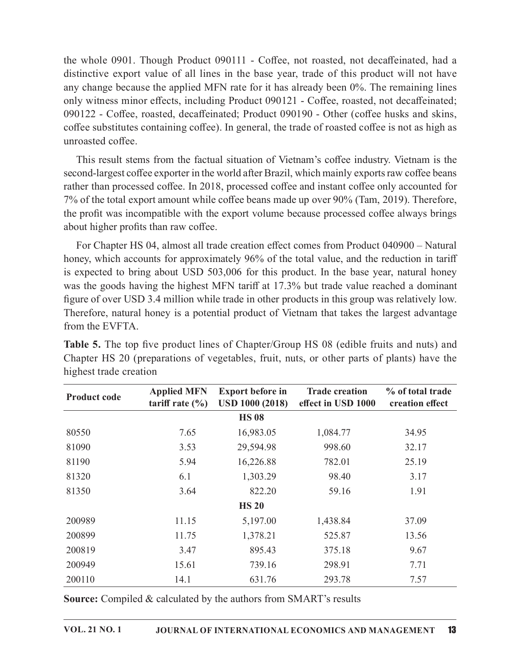the whole 0901. Though Product 090111 - Coffee, not roasted, not decaffeinated, had a distinctive export value of all lines in the base year, trade of this product will not have any change because the applied MFN rate for it has already been  $0\%$ . The remaining lines only witness minor effects, including Product 090121 - Coffee, roasted, not decaffeinated; 090122 - Coffee, roasted, decaffeinated; Product 090190 - Other (coffee husks and skins, coffee substitutes containing coffee). In general, the trade of roasted coffee is not as high as unroasted coffee.

This result stems from the factual situation of Vietnam's coffee industry. Vietnam is the second-largest coffee exporter in the world after Brazil, which mainly exports raw coffee beans rather than processed coffee. In 2018, processed coffee and instant coffee only accounted for 7% of the total export amount while coffee beans made up over 90% (Tam, 2019). Therefore, the profit was incompatible with the export volume because processed coffee always brings about higher profits than raw coffee.

|                        | about higher profits than raw coffee.     |                                                                   |                                                                                                                                                                                                                                                                                                                                                                                                                                                                                                                                                                                |                                     |
|------------------------|-------------------------------------------|-------------------------------------------------------------------|--------------------------------------------------------------------------------------------------------------------------------------------------------------------------------------------------------------------------------------------------------------------------------------------------------------------------------------------------------------------------------------------------------------------------------------------------------------------------------------------------------------------------------------------------------------------------------|-------------------------------------|
| from the EVFTA.        |                                           |                                                                   | For Chapter HS 04, almost all trade creation effect comes from Product 040900 – Natural<br>honey, which accounts for approximately 96% of the total value, and the reduction in tariff<br>is expected to bring about USD 503,006 for this product. In the base year, natural honey<br>was the goods having the highest MFN tariff at 17.3% but trade value reached a dominant<br>figure of over USD 3.4 million while trade in other products in this group was relatively low.<br>Therefore, natural honey is a potential product of Vietnam that takes the largest advantage |                                     |
| highest trade creation |                                           |                                                                   | <b>Table 5.</b> The top five product lines of Chapter/Group HS 08 (edible fruits and nuts) and<br>Chapter HS 20 (preparations of vegetables, fruit, nuts, or other parts of plants) have the                                                                                                                                                                                                                                                                                                                                                                                   |                                     |
| <b>Product code</b>    | <b>Applied MFN</b><br>tariff rate $(\% )$ | <b>Export before in</b><br><b>USD 1000 (2018)</b>                 | <b>Trade creation</b><br>effect in USD 1000                                                                                                                                                                                                                                                                                                                                                                                                                                                                                                                                    | % of total trade<br>creation effect |
|                        |                                           | <b>HS 08</b>                                                      |                                                                                                                                                                                                                                                                                                                                                                                                                                                                                                                                                                                |                                     |
| 80550                  | 7.65                                      | 16,983.05                                                         | 1,084.77                                                                                                                                                                                                                                                                                                                                                                                                                                                                                                                                                                       | 34.95                               |
| 81090                  | 3.53                                      | 29,594.98                                                         | 998.60                                                                                                                                                                                                                                                                                                                                                                                                                                                                                                                                                                         | 32.17                               |
| 81190                  | 5.94                                      | 16,226.88                                                         | 782.01                                                                                                                                                                                                                                                                                                                                                                                                                                                                                                                                                                         | 25.19                               |
| 81320                  | 6.1                                       | 1,303.29                                                          | 98.40                                                                                                                                                                                                                                                                                                                                                                                                                                                                                                                                                                          | 3.17                                |
| 81350                  | 3.64                                      | 822.20                                                            | 59.16                                                                                                                                                                                                                                                                                                                                                                                                                                                                                                                                                                          | 1.91                                |
|                        |                                           | <b>HS 20</b>                                                      |                                                                                                                                                                                                                                                                                                                                                                                                                                                                                                                                                                                |                                     |
| 200989                 | 11.15                                     | 5,197.00                                                          | 1,438.84                                                                                                                                                                                                                                                                                                                                                                                                                                                                                                                                                                       | 37.09                               |
| 200899                 | 11.75                                     | 1,378.21                                                          | 525.87                                                                                                                                                                                                                                                                                                                                                                                                                                                                                                                                                                         | 13.56                               |
| 200819                 | 3.47                                      | 895.43                                                            | 375.18                                                                                                                                                                                                                                                                                                                                                                                                                                                                                                                                                                         | 9.67                                |
| 200949                 | 15.61                                     | 739.16                                                            | 298.91                                                                                                                                                                                                                                                                                                                                                                                                                                                                                                                                                                         | 7.71                                |
| 200110                 | 14.1                                      | 631.76                                                            | 293.78                                                                                                                                                                                                                                                                                                                                                                                                                                                                                                                                                                         | 7.57                                |
|                        |                                           | Source: Compiled & calculated by the authors from SMART's results |                                                                                                                                                                                                                                                                                                                                                                                                                                                                                                                                                                                |                                     |
| <b>VOL. 21 NO. 1</b>   |                                           |                                                                   | JOURNAL OF INTERNATIONAL ECONOMICS AND MANAGEMENT                                                                                                                                                                                                                                                                                                                                                                                                                                                                                                                              | 13                                  |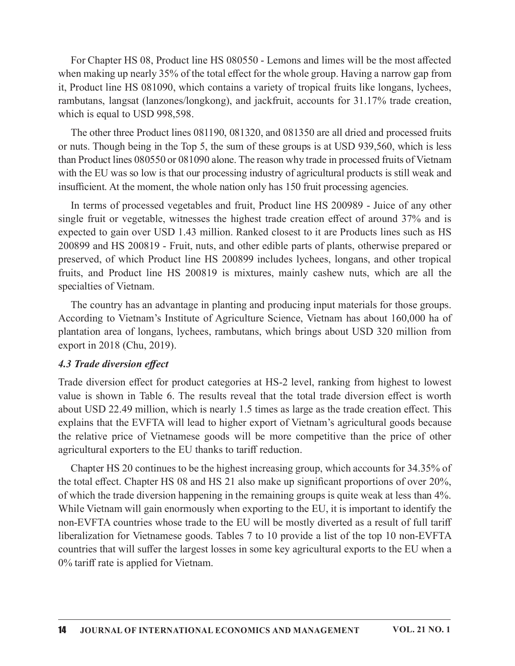For Chapter HS 08, Product line HS 080550 - Lemons and limes will be the most affected when making up nearly 35% of the total effect for the whole group. Having a narrow gap from it, Product line HS 081090, which contains a variety of tropical fruits like longans, lychees, rambutans, langsat (lanzones/longkong), and jackfruit, accounts for 31.17% trade creation, which is equal to USD 998,598.

The other three Product lines 081190, 081320, and 081350 are all dried and processed fruits or nuts. Though being in the Top 5, the sum of these groups is at USD 939,560, which is less than Product lines 080550 or 081090 alone. The reason why trade in processed fruits of Vietnam with the EU was so low is that our processing industry of agricultural products is still weak and insufficient. At the moment, the whole nation only has 150 fruit processing agencies.

In terms of processed vegetables and fruit, Product line HS 200989 - Juice of any other single fruit or vegetable, witnesses the highest trade creation effect of around 37% and is expected to gain over USD 1.43 million. Ranked closest to it are Products lines such as HS 200899 and HS 200819 - Fruit, nuts, and other edible parts of plants, otherwise prepared or preserved, of which Product line HS 200899 includes lychees, longans, and other tropical fruits, and Product line HS 200819 is mixtures, mainly cashew nuts, which areall the specialties of Vietnam.

The country has an advantage in planting and producing input materials for those groups. According to Vietnam's Institute of Agriculture Science, Vietnam has about 160,000 ha of plantation area of longans, lychees, rambutans, which brings about USD 320 million from export in 2018 (Chu, 2019).

#### 4.3 Trade diversion effect

Trade diversion effect for product categories at HS-2 level, ranking from highest to lowest value is shown in Table 6. The results reveal that the total trade diversion effect is worth about USD 22.49 million, which is nearly 1.5 times as large as the trade creation effect. This explains that the EVFTA will lead to higher export of Vietnam's agricultural goods because expected to gain over USD 1.43 million. Ranked closest to it are Products lines such as HS 200899 and IIS 200819 - Fruit, nuts, and other edible parts of plants, otherwise prepared or preserved, of which Product line HS 20 agricultural exporters to the EU thanks to tariff reduction.

Chapter HS 20 continues to be the highest increasing group, which accounts for34.35% of the total effect. Chapter HS 08 and HS 21 also make up significant proportions of over  $20\%$ , of which the trade diversion happening in the remaining groups is quite weak at less than  $4\%$ . While Vietnam will gain enormously when exporting to the EU, it is important to identify the non-EVFTA countries whose trade to the EU will be mostly diverted as a result of full tariff liberalization for Vietnamese goods. Tables 7 to 10 provide a list of the top 10 non-EVFTA countries that will suffer the largest losses in some key agricultural exports to the EU when a 0% tariff rate is applied for Vietnam.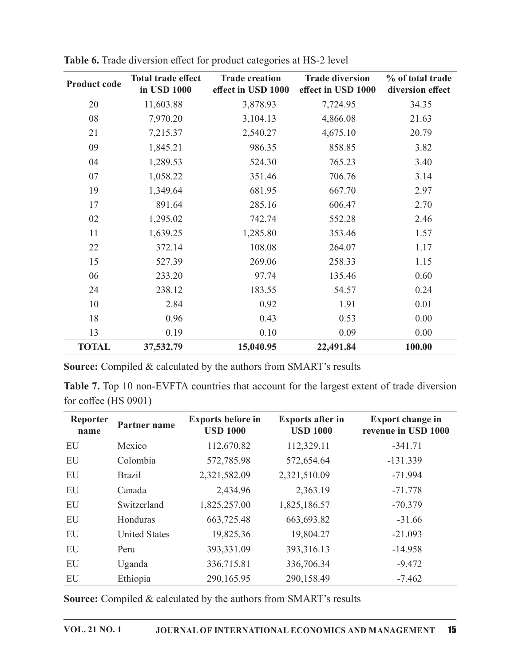| <b>Product code</b> | <b>Total trade effect</b><br>in USD 1000 | <b>Trade creation</b><br>effect in USD 1000 | <b>Trade diversion</b><br>effect in USD 1000 | % of total trade<br>diversion effect |
|---------------------|------------------------------------------|---------------------------------------------|----------------------------------------------|--------------------------------------|
| 20                  | 11,603.88                                | 3,878.93                                    | 7,724.95                                     | 34.35                                |
| 08                  | 7,970.20                                 | 3,104.13                                    | 4,866.08                                     | 21.63                                |
| 21                  | 7,215.37                                 | 2,540.27                                    | 4,675.10                                     | 20.79                                |
| 09                  | 1,845.21                                 | 986.35                                      | 858.85                                       | 3.82                                 |
| 04                  | 1,289.53                                 | 524.30                                      | 765.23                                       | 3.40                                 |
| 07                  | 1,058.22                                 | 351.46                                      | 706.76                                       | 3.14                                 |
| 19                  | 1,349.64                                 | 681.95                                      | 667.70                                       | 2.97                                 |
| 17                  | 891.64                                   | 285.16                                      | 606.47                                       | 2.70                                 |
| 02                  | 1,295.02                                 | 742.74                                      | 552.28                                       | 2.46                                 |
| 11                  | 1,639.25                                 | 1,285.80                                    | 353.46                                       | 1.57                                 |
| 22                  | 372.14                                   | 108.08                                      | 264.07                                       | 1.17                                 |
| 15                  | 527.39                                   | 269.06                                      | 258.33                                       | 1.15                                 |
| 06                  | 233.20                                   | 97.74                                       | 135.46                                       | 0.60                                 |
| 24                  | 238.12                                   | 183.55                                      | 54.57                                        | 0.24                                 |
| 10                  | 2.84                                     | 0.92                                        | 1.91                                         | 0.01                                 |
| 18                  | 0.96                                     | 0.43                                        | 0.53                                         | 0.00                                 |
| 13                  | 0.19                                     | 0.10                                        | 0.09                                         | 0.00                                 |
| <b>TOTAL</b>        | 37,532.79                                | 15,040.95                                   | 22,491.84                                    | 100.00                               |

Table 6. Trade diversion effect for product categories at HS-2 level

Source: Compiled & calculated by the authors from SMART's results

Table 7. Top 10 non-EVFTA countries that account for the largest extent of trade diversion for coffee (HS 0901)

| Reporter<br>name | Partner name         | <b>Exports before in</b><br><b>USD 1000</b> | <b>Exports after in</b><br><b>USD 1000</b> | <b>Export change in</b><br>revenue in USD 1000 |
|------------------|----------------------|---------------------------------------------|--------------------------------------------|------------------------------------------------|
| EU               | Mexico               | 112,670.82                                  | 112,329.11                                 | $-341.71$                                      |
| EU               | Colombia             | 572,785.98                                  | 572,654.64                                 | $-131.339$                                     |
| EU               | <b>Brazil</b>        | 2,321,582.09                                | 2,321,510.09                               | $-71.994$                                      |
| EU               | Canada               | 2,434.96                                    | 2,363.19                                   | $-71.778$                                      |
| <b>EU</b>        | Switzerland          | 1,825,257.00                                | 1,825,186.57                               | $-70.379$                                      |
| EU               | Honduras             | 663,725.48                                  | 663,693.82                                 | $-31.66$                                       |
| EU               | <b>United States</b> | 19,825.36                                   | 19,804.27                                  | $-21.093$                                      |
| EU               | Peru                 | 393,331.09                                  | 393,316.13                                 | $-14.958$                                      |
| EU               | Uganda               | 336,715.81                                  | 336,706.34                                 | $-9.472$                                       |
| EU               | Ethiopia             | 290,165.95                                  | 290,158.49                                 | $-7.462$                                       |

Source: Compiled & calculated by the authors from SMART's results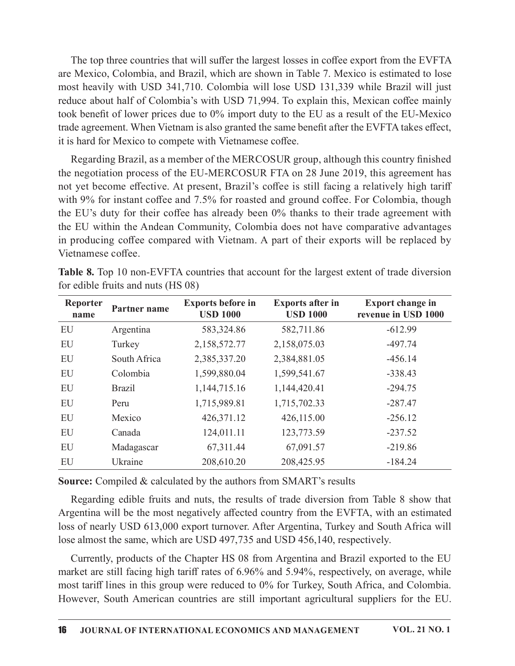The top three countries that will suffer the largest losses in coffee export from the EVFTA are Mexico, Colombia, and Brazil, which are shown in Table 7. Mexico is estimated to lose most heavily with USD 341,710. Colombia will lose USD 131,339 while Brazil will just reduce about half of Colombia's with USD 71,994. To explain this, Mexican coffee mainly took benefit of lower prices due to  $0\%$  import duty to the EU as a result of the EU-Mexico trade agreement. When Vietnam is also granted the same benefit after the EVFTA takes effect, it is hard for Mexico to compete with Vietnamese coffee.

Regarding Brazil, as a member of the MERCOSUR group, although this country finished the negotiation process of the EU-MERCOSUR FTA on 28 June 2019, this agreement has not yet become effective. At present, Brazil's coffee is still facing a relatively high tariff with 9% for instant coffee and 7.5% for roasted and ground coffee. For Colombia, though the EU's duty for their coffee has already been 0% thanks to their trade agreement with the EU within the Andean Community, Colombia does not have comparative advantages in producing coffee compared with Vietnam. A part of their exports will be replaced by Vietnamese coffee. rade agreement. When Vietnam is also granted the same benefit after the EVFTA takes effect,<br>
it hard for Mexico to compete with Vietnamese coffee.<br>
Regarding Brazil, as a member of the MERCOSUR group, although this country

|                         |                                    | it is hard for Mexico to compete with Vietnamese coffee.          |                                            |                                                                                                                                                                                                                                                                                                                                                                                                                                                                                                                                                                                                                                                  |
|-------------------------|------------------------------------|-------------------------------------------------------------------|--------------------------------------------|--------------------------------------------------------------------------------------------------------------------------------------------------------------------------------------------------------------------------------------------------------------------------------------------------------------------------------------------------------------------------------------------------------------------------------------------------------------------------------------------------------------------------------------------------------------------------------------------------------------------------------------------------|
| Vietnamese coffee.      |                                    |                                                                   |                                            | Regarding Brazil, as a member of the MERCOSUR group, although this country finished<br>the negotiation process of the EU-MERCOSUR FTA on 28 June 2019, this agreement has<br>not yet become effective. At present, Brazil's coffee is still facing a relatively high tariff<br>with 9% for instant coffee and 7.5% for roasted and ground coffee. For Colombia, though<br>the EU's duty for their coffee has already been 0% thanks to their trade agreement with<br>the EU within the Andean Community, Colombia does not have comparative advantages<br>in producing coffee compared with Vietnam. A part of their exports will be replaced by |
|                         | for edible fruits and nuts (HS 08) |                                                                   |                                            | <b>Table 8.</b> Top 10 non-EVFTA countries that account for the largest extent of trade diversion                                                                                                                                                                                                                                                                                                                                                                                                                                                                                                                                                |
| <b>Reporter</b><br>name | Partner name                       | <b>Exports before in</b><br><b>USD 1000</b>                       | <b>Exports after in</b><br><b>USD 1000</b> | <b>Export change in</b><br>revenue in USD 1000                                                                                                                                                                                                                                                                                                                                                                                                                                                                                                                                                                                                   |
| EU                      | Argentina                          | 583,324.86                                                        | 582,711.86                                 | $-612.99$                                                                                                                                                                                                                                                                                                                                                                                                                                                                                                                                                                                                                                        |
| EU                      | Turkey                             | 2,158,572.77                                                      | 2,158,075.03                               | $-497.74$                                                                                                                                                                                                                                                                                                                                                                                                                                                                                                                                                                                                                                        |
| EU                      | South Africa                       | 2,385,337.20                                                      | 2,384,881.05                               | $-456.14$                                                                                                                                                                                                                                                                                                                                                                                                                                                                                                                                                                                                                                        |
| EU                      | Colombia                           | 1,599,880.04                                                      | 1,599,541.67                               | $-338.43$                                                                                                                                                                                                                                                                                                                                                                                                                                                                                                                                                                                                                                        |
| EU                      | <b>Brazil</b>                      | 1,144,715.16                                                      | 1,144,420.41                               | $-294.75$                                                                                                                                                                                                                                                                                                                                                                                                                                                                                                                                                                                                                                        |
| EU                      | Peru                               | 1,715,989.81                                                      | 1,715,702.33                               | $-287.47$                                                                                                                                                                                                                                                                                                                                                                                                                                                                                                                                                                                                                                        |
| EU                      | Mexico                             | 426,371.12                                                        | 426,115.00                                 | $-256.12$                                                                                                                                                                                                                                                                                                                                                                                                                                                                                                                                                                                                                                        |
| EU                      | Canada                             | 124,011.11                                                        | 123,773.59                                 | $-237.52$                                                                                                                                                                                                                                                                                                                                                                                                                                                                                                                                                                                                                                        |
| EU                      | Madagascar                         | 67,311.44                                                         | 67,091.57                                  | $-219.86$                                                                                                                                                                                                                                                                                                                                                                                                                                                                                                                                                                                                                                        |
| EU                      | Ukraine                            | 208,610.20                                                        | 208,425.95                                 | $-184.24$                                                                                                                                                                                                                                                                                                                                                                                                                                                                                                                                                                                                                                        |
|                         |                                    | Source: Compiled & calculated by the authors from SMART's results |                                            | Regarding edible fruits and nuts, the results of trade diversion from Table 8 show that<br>Argentina will be the most negatively affected country from the EVFTA, with an estimated<br>$\frac{1}{2}$ loss of nearly USD 613,000 export turnover. After Argenting. Turkey and South Africa will                                                                                                                                                                                                                                                                                                                                                   |

Table 8. Top 10 non-EVFTA countries that account for the largest extent of trade diversion for edible fruits and nuts  $(HS 08)$ 

Regarding edible fruits and nuts, the results of trade diversion from Table 8 show that Argentina will be the most negatively affected country from the EVFTA, with an estimated loss of nearly USD 613,000 export turnover. After Argentina, Turkey and South Africa will lose almost the same, which are USD 497,735 and USD 456,140, respectively.

Currently, products of the Chapter HS 08 from Argentina and Brazil exported to the EU market are still facing high tariff rates of 6.96% and 5.94%, respectively, on average, while most tariff lines in this group were reduced to 0% for Turkey, South Africa, and Colombia. However, South American countries are still important agricultural suppliers for the EU.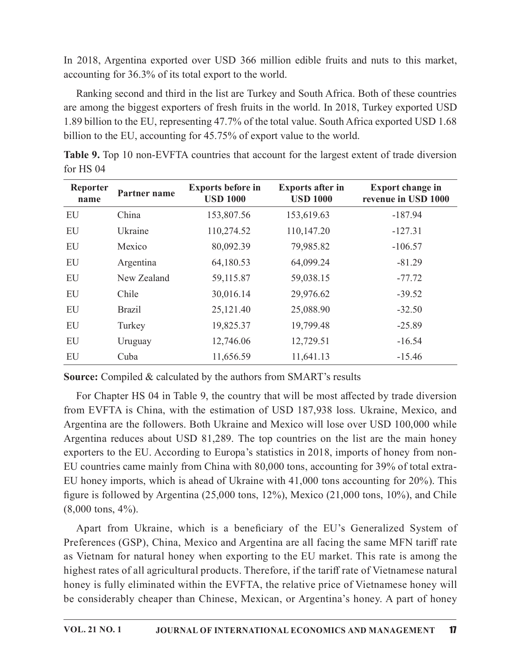|                               |               | accounting for 36.3% of its total export to the world.                 |                                            | In 2018, Argentina exported over USD 366 million edible fruits and nuts to this market,                                                                                                                                                                                                                                                                                                |
|-------------------------------|---------------|------------------------------------------------------------------------|--------------------------------------------|----------------------------------------------------------------------------------------------------------------------------------------------------------------------------------------------------------------------------------------------------------------------------------------------------------------------------------------------------------------------------------------|
|                               |               | billion to the EU, accounting for 45.75% of export value to the world. |                                            | Ranking second and third in the list are Turkey and South Africa. Both of these countries<br>are among the biggest exporters of fresh fruits in the world. In 2018, Turkey exported USD<br>1.89 billion to the EU, representing 47.7% of the total value. South Africa exported USD 1.68<br>Table 9. Top 10 non-EVFTA countries that account for the largest extent of trade diversion |
| for HS 04<br>Reporter<br>name | Partner name  | <b>Exports before in</b><br><b>USD 1000</b>                            | <b>Exports after in</b><br><b>USD 1000</b> | <b>Export change in</b><br>revenue in USD 1000                                                                                                                                                                                                                                                                                                                                         |
| EU                            | China         | 153,807.56                                                             | 153,619.63                                 | $-187.94$                                                                                                                                                                                                                                                                                                                                                                              |
| EU                            | Ukraine       | 110,274.52                                                             | 110,147.20                                 | $-127.31$                                                                                                                                                                                                                                                                                                                                                                              |
| EU                            | Mexico        | 80,092.39                                                              | 79,985.82                                  | $-106.57$                                                                                                                                                                                                                                                                                                                                                                              |
| EU                            | Argentina     | 64,180.53                                                              | 64,099.24                                  | $-81.29$                                                                                                                                                                                                                                                                                                                                                                               |
| EU                            | New Zealand   | 59,115.87                                                              | 59,038.15                                  | $-77.72$                                                                                                                                                                                                                                                                                                                                                                               |
|                               | Chile         | 30,016.14                                                              | 29,976.62                                  | $-39.52$                                                                                                                                                                                                                                                                                                                                                                               |
| EU                            |               | 25,121.40                                                              | 25,088.90                                  | $-32.50$                                                                                                                                                                                                                                                                                                                                                                               |
| EU                            | <b>Brazil</b> |                                                                        |                                            |                                                                                                                                                                                                                                                                                                                                                                                        |
| EU                            | Turkey        | 19,825.37                                                              | 19,799.48                                  | $-25.89$                                                                                                                                                                                                                                                                                                                                                                               |
| EU                            | Uruguay       | 12,746.06                                                              | 12,729.51                                  | $-16.54$                                                                                                                                                                                                                                                                                                                                                                               |

Table 9. Top 10 non-EVFTA countries that account for the largest extent of trade diversion for HS 04

For Chapter HS 04 in Table 9, the country that will be most affected by trade diversion from EVFTA is China, with the estimation of USD 187,938 loss. Ukraine, Mexico, and Argentina are the followers. Both Ukraine and Mexico will lose over USD 100,000 while Argentina reduces about USD 81,289. The top countries on the list are the main honey exporters to the EU. According to Europa's statistics in 2018, imports of honey from non-EU countries came mainly from China with 80,000 tons, accounting for 39% of total extra-EU honey imports, which is ahead of Ukraine with 41,000 tons accounting for 20%). This figure is followed by Argentina  $(25,000 \text{ tons}, 12\%)$ , Mexico  $(21,000 \text{ tons}, 10\%)$ , and Chile (8,000 tons, 4%).

Apart from Ukraine, which is a beneficiary of the EU's Generalized System of Preferences (GSP), China, Mexico and Argentina are all facing the same MFN tariff rate as Vietnam for natural honey when exporting to the EU market. This rate is among the highest rates of all agricultural products. Therefore, if the tariff rate of Vietnamese natural honey is fully eliminated within the EVFTA, the relative price of Vietnamese honey will be considerably cheaper than Chinese, Mexican, or Argentina's honey. A part of honey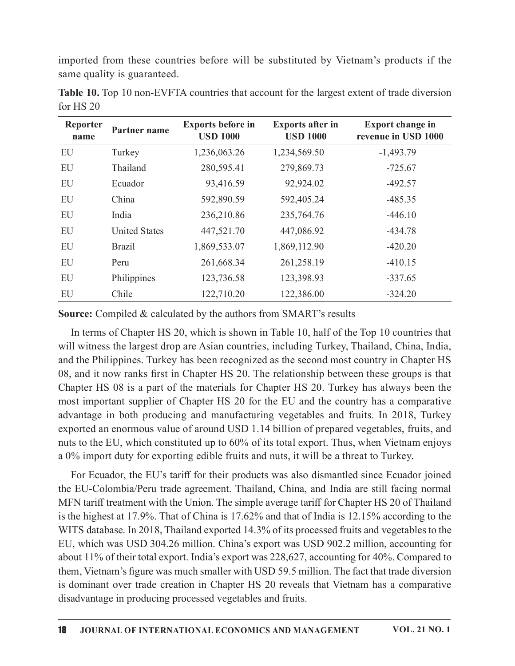imported from these countries before will be substituted by Vietnam's products if the<br>same quality is guaranteed.<br>**Table 10.** Top 10 non-EVFTA countries that account for the largest extent of trade diversion<br>for HS 20 same quality is guaranteed.

|                              | same quality is guaranteed. |                                 |                                 | imported from these countries before will be substituted by Vietnam's products if the<br>Table 10. Top 10 non-EVFTA countries that account for the largest extent of trade diversion |
|------------------------------|-----------------------------|---------------------------------|---------------------------------|--------------------------------------------------------------------------------------------------------------------------------------------------------------------------------------|
| for HS 20<br><b>Reporter</b> | Partner name                | <b>Exports before in</b>        | <b>Exports after in</b>         | <b>Export change in</b>                                                                                                                                                              |
| name<br>EU                   | Turkey                      | <b>USD 1000</b><br>1,236,063.26 | <b>USD 1000</b><br>1,234,569.50 | revenue in USD 1000<br>$-1,493.79$                                                                                                                                                   |
| EU                           | Thailand                    | 280,595.41                      | 279,869.73                      | $-725.67$                                                                                                                                                                            |
| ${\rm EU}$                   | Ecuador                     | 93,416.59                       | 92,924.02                       | $-492.57$                                                                                                                                                                            |
| EU                           | China                       | 592,890.59                      | 592,405.24                      | $-485.35$                                                                                                                                                                            |
| EU                           | India                       | 236,210.86                      | 235,764.76                      | $-446.10$                                                                                                                                                                            |
| EU                           | <b>United States</b>        | 447,521.70                      | 447,086.92                      | $-434.78$                                                                                                                                                                            |
| EU                           | <b>Brazil</b>               | 1,869,533.07                    | 1,869,112.90                    | $-420.20$                                                                                                                                                                            |
|                              |                             |                                 |                                 | $-410.15$                                                                                                                                                                            |
| EU                           | Peru                        |                                 |                                 |                                                                                                                                                                                      |
| EU                           | Philippines                 | 261,668.34<br>123,736.58        | 261,258.19<br>123,398.93        | $-337.65$                                                                                                                                                                            |

Table 10. Top 10 non-EVFTA countries that account for the largest extent of trade diversion for  $HS 20$ 

In terms of Chapter HS 20, which is shown in Table 10, half of the Top 10 countries that will witness the largest drop are Asian countries, including Turkey, Thailand, China, India, and the Philippines. Turkey has been recognized as the second most country in Chapter HS 08, and it now ranks first in Chapter HS 20. The relationship between these groups is that Chapter HS 08 is a part of the materials for Chapter HS 20. Turkey has always been the most important supplier of Chapter HS 20 for the EU and the country has a comparative advantage in both producing and manufacturing vegetables and fruits. In 2018, Turkey exported an enormous value of around USD 1.14 billion of prepared vegetables, fruits, and nuts to the EU, which constituted up to 60% of its total export. Thus, when Vietnam enjoys a 0% import duty for exporting edible fruits and nuts, it will be a threat to Turkey.

For Ecuador, the EU's tariff for their products was also dismantled since Ecuador joined the EU-Colombia/Peru trade agreement. Thailand, China, and India are still facing normal MFN tariff treatment with the Union. The simple average tariff for Chapter HS 20 of Thailand is the highest at 17.9%. That of China is 17.62% and that of India is 12.15% according to the WITS database. In 2018, Thailand exported 14.3% of its processed fruits and vegetables to the EU, which was USD 304.26 million. China's exportwas USD 902.2 million, accounting for about 11% of their total export. India's export was 228,627, accounting for 40%. Compared to them, Vietnam's figure was much smaller with USD 59.5 million. The fact that trade diversion So, and not not mannel and computer 102 of the Chinacterial store. The vandance product and computer 115 08 is a part of the materials for Chapter 115 20. Turkey has always been the most important supplier of Chapter 1IS disadvantage in producing processed vegetables and fruits.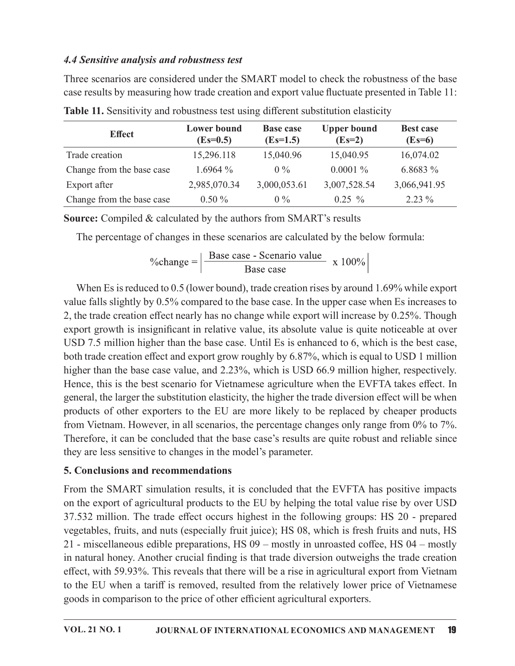## 4.4 Sensitive analysis and robustness test

| 4.4 Sensitive analysis and robustness test                                                     |                                  |                                |                                |                              |
|------------------------------------------------------------------------------------------------|----------------------------------|--------------------------------|--------------------------------|------------------------------|
| Three scenarios are considered under the SMART model to check the robustness of the base       |                                  |                                |                                |                              |
| case results by measuring how trade creation and export value fluctuate presented in Table 11: |                                  |                                |                                |                              |
| Table 11. Sensitivity and robustness test using different substitution elasticity              |                                  |                                |                                |                              |
| <b>Effect</b>                                                                                  | <b>Lower</b> bound<br>$(Es=0.5)$ | <b>Base case</b><br>$(Es=1.5)$ | <b>Upper bound</b><br>$(Es=2)$ | <b>Best case</b><br>$(Es=6)$ |
| Trade creation                                                                                 | 15,296.118                       | 15,040.96                      | 15,040.95                      | 16,074.02                    |
| Change from the base case                                                                      | 1.6964 $%$                       | $0\%$                          | $0.0001\%$                     | 6.8683 %                     |
| Export after                                                                                   | 2,985,070.34                     | 3,000,053.61                   | 3,007,528.54                   | 3,066,941.95                 |

Table 11. Sensitivity and robustness test using different substitution elasticity

$$
\%change = \frac{\text{Base case - Scenario value}}{\text{Base case}} \times 100\%
$$

When Es is reduced to  $0.5$  (lower bound), trade creation rises by around 1.69% while export value falls slightly by 0.5% compared to the base case. In the upper case when Es increases to 2, the trade creation effect nearly has no change while export will increase by 0.25%. Though export growth is insignificant in relative value, its absolute value is quite noticeable at over USD 7.5 million higher than the base case. Until Es is enhanced to 6, which is the best case, both trade creation effect and export grow roughly by 6.87%, which is equal to USD 1 million higher than the base case value, and 2.23%, which is USD 66.9 million higher, respectively. Hence, this is the best scenario for Vietnamese agriculture when the EVFTA takes effect. In general, the larger the substitution elasticity, the higher the trade diversion effect will be when products of other exporters to the EU are more likely to be replaced by cheaper products from Vietnam. However, in all scenarios, the percentage changes only range from 0% to 7%. Therefore, it can be concluded that the base case's results are quite robust and reliable since they are less sensitive to changes in the model's parameter.

## 5. Conclusions and recommendations

From the SMART simulation results, it is concluded that the EVFTA has positive impacts on the export of agricultural products to the EU by helping the total value rise by over USD 37.532 million. The trade effect occurs highest in the following groups: HS 20 - prepared vegetables, fruits, and nuts (especially fruit juice); HS 08, which is fresh fruits and nuts,HS 21 - miscellaneous edible preparations, HS  $09$  – mostly in unroasted coffee, HS  $04$  – mostly in natural honey. Another crucial finding is that trade diversion outweighs the trade creation effect, with 59.93%. This reveals that there will be a rise in agricultural export from Vietnam to the EU when a tariff is removed, resulted from the relatively lower price of Vietnamese goods in comparison to the price of other efficient agricultural exporters.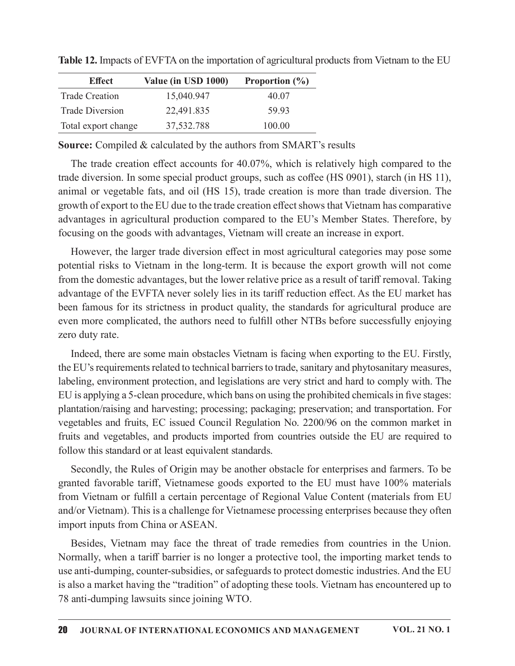| <b>Effect</b>          | Value (in USD 1000) | Proportion $(\% )$ |
|------------------------|---------------------|--------------------|
| <b>Trade Creation</b>  | 15,040.947          | 40.07              |
| <b>Trade Diversion</b> | 22,491.835          | 59.93              |
| Total export change    | 37,532.788          | 100.00             |

Table 12. Impacts of EVFTA on the importation of agricultural products from Vietnam to the EU

**Source:** Compiled & calculated by the authors from SMART's results

The trade creation effect accounts for 40.07%, which is relatively high compared to the trade diversion. In some special product groups, such as coffee (HS 0901), starch (in HS 11), animal or vegetable fats, and oil (HS 15), trade creation is more than trade diversion. The growth of export to the EU due to the trade creation effect shows that Vietnam has comparative advantages in agricultural production compared to the EU's Member States. Therefore, by focusing on the goods with advantages, Vietnam will create an increase in export.

However, the larger trade diversion effect in most agricultural categories may pose some potential risks to Vietnam in the long-term. It is because the export growth will not come from the domestic advantages, but the lower relative price as a result of tariff removal. Taking advantage of the EVFTA never solely lies in its tariff reduction effect. As the EU market has been famous for its strictness in product quality, the standards for agricultural produce are even more complicated, the authors need to fulfill other NTBs before successfully enjoying zero duty rate.

Indeed, there are some main obstacles Vietnam is facing when exporting to the EU. Firstly, the EU's requirements related to technical barriers to trade, sanitary and phytosanitary measures, labeling, environment protection, and legislations are very strict and hard to comply with. The EU is applying a 5-clean procedure, which bans on using the prohibited chemicals in five stages: plantation/raising and harvesting; processing; packaging; preservation; and transportation. For vegetables and fruits, EC issued Council Regulation No. 2200/96 on the common market in fruits and vegetables, and products imported from countries outside the EU are required to follow this standard or at least equivalent standards.

Secondly, the Rules of Origin may be another obstacle for enterprises and farmers. To be granted favorable tariff, Vietnamese goods exported to the EU must have 100% materials from Vietnam or fulfill a certain percentage of Regional Value Content (materials from EU and/or Vietnam). This is a challenge for Vietnamese processing enterprises because they often import inputs from China or ASEAN.

Besides, Vietnam may face the threat of trade remedies from countries in the Union. Normally, when a tariff barrier is no longer a protective tool, the importing market tends to use anti-dumping, counter-subsidies, or safeguards to protect domestic industries. And the EU is also a market having the "tradition" of adopting these tools. Vietnam has encountered up to 78 anti-dumping lawsuits since joining WTO.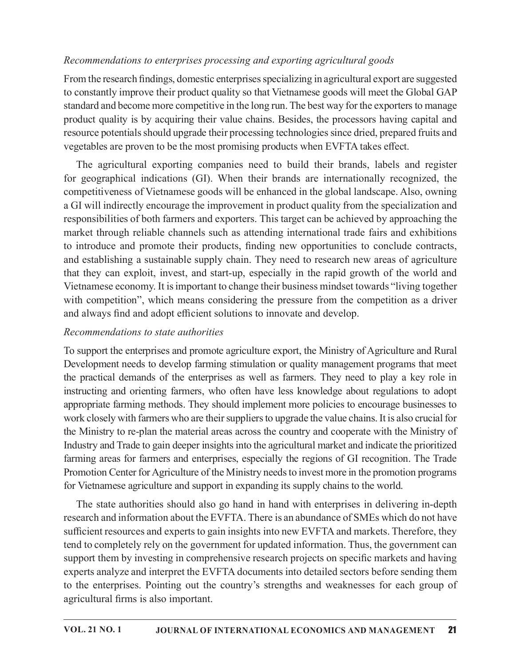## Recommendations to enterprises processing and exporting agricultural goods

From the research findings, domestic enterprises specializing in agricultural export are suggested to constantly improve their product quality so that Vietnamese goods will meet the Global GAP standard and become more competitive in the long run. The best way for the exporters to manage product quality is by acquiring their value chains. Besides, the processors having capital and resource potentials should upgrade their processing technologies since dried, prepared fruits and vegetables are proven to be the most promising products when EVFTA takes effect.

The agricultural exporting companies need to build their brands, labels and register for geographical indications (GI). When their brands are internationally recognized, the competitiveness of Vietnamese goods will be enhanced in theglobal landscape. Also, owning a GI will indirectly encourage the improvement in product quality from the specialization and responsibilities of both farmers and exporters. This target can be achieved by approaching the market through reliable channels such as attending international trade fairs and exhibitions *Recommendations to enterprises processing and exporting agricultural goods*<br>From the research findings, domestic enterprises specializing in agricultural export are suggested<br>to constantly improve their product quality so and establishing a sustainable supply chain. They need to research new areas of agriculture that they can exploit, invest, and start-up, especially in the rapid growth of the world and Vietnamese economy. It isimportant to change their business mindset towards "living together with competition", which means considering the pressure from the competition as a driver and always find and adopt efficient solutions to innovate and develop. for geographical indications (GI). When their brands are internationally recognized, the competitiveness of Vietnamese goods will be enhanced in the global landscape. Also, owning G GI will indirectly necourage the improve

### Recommendations to state authorities

To support the enterprises and promote agriculture export, the Ministry of Agriculture and Rural Development needs to develop farming stimulation or quality management programs that meet instructing and orienting farmers, who often have less knowledge about regulations to adopt appropriate farming methods. They should implement more policies to encourage businesses to work closely with farmers who are their suppliers to upgrade the value chains. It is also crucial for the Ministry to re-plan the material areas across the country and cooperate with the Ministry of Industry and Trade to gain deeper insights into the agricultural market and indicate the prioritized farming areas for farmers and enterprises, especially the regions of GI recognition. The Trade Promotion Center for Agriculture of the Ministry needs to invest more in the promotion programs for Vietnamese agriculture and support in expanding its supply chains to the world.

The state authorities should also go hand in hand with enterprises in delivering in-depth research and information about the EVFTA. There is an abundance of SMEs which do not have sufficient resources and experts to gain insights into new EVFTA and markets. Therefore, they tend to completely rely on the government for updated information. Thus, the government can support them by investing in comprehensive research projects on specific markets and having experts analyze and interpret the EVFTA documents into detailed sectors before sending them to the enterprises. Pointing out the country's strengths and weaknesses for each group of agricultural firms is also important.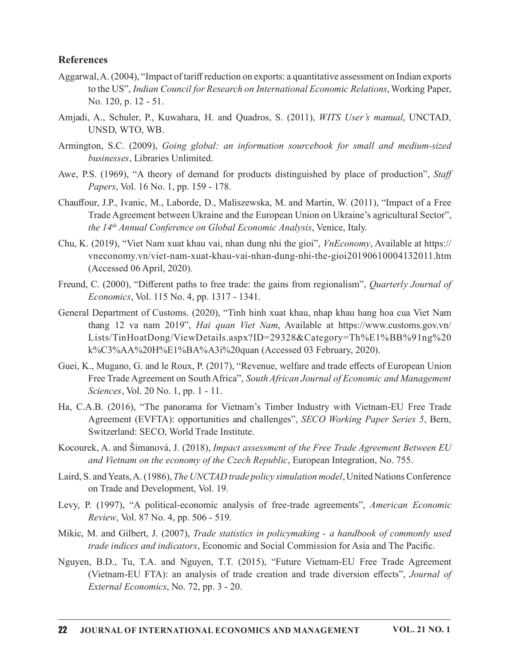#### References

- Aggarwal, A. (2004), "Impact of tariff reduction on exports: a quantitative assessment on Indian exports to the US", Indian Council for Research on International Economic Relations, Working Paper, No. 120, p. 12 - 51.
- Amjadi, A., Schuler, P., Kuwahara, H. and Quadros, S. (2011), WITS User's manual, UNCTAD, UNSD, WTO, WB.
- Armington, S.C. (2009), Going global: an information sourcebook for small and medium-sized businesses, Libraries Unlimited.
- Awe, P.S. (1969), "A theory of demand for products distinguished by place of production", Staff Papers, Vol. 16 No. 1, pp. 159 - 178.
- Chauffour, J.P., Ivanic, M., Laborde, D., Maliszewska, M. and Martin, W. (2011), "Impact of a Free Trade Agreement between Ukraine and the European Union on Ukraine's agricultural Sector", the 14<sup>th</sup> Annual Conference on Global Economic Analysis, Venice, Italy.
- Chu, K. (2019), "Viet Nam xuat khau vai, nhan dung nhi the gioi", *VnEconomy*, Available at https:// vneconomy.vn/viet-nam-xuat-khau-vai-nhan-dung-nhi-the-gioi20190610004132011.htm (Accessed 06 April, 2020).
- Freund, C. (2000), "Different paths to free trade: the gains from regionalism", Quarterly Journal of *Economics*, Vol. 115 No. 4, pp. 1317 - 1341.
- General Department of Customs. (2020), "Tinh hinh xuat khau, nhap khau hang hoa cua Viet Nam thang 12 va nam 2019", Hai quan Viet Nam, Available at https://www.customs.gov.vn/ Lists/TinHoatDong/ViewDetails.aspx?ID=29328&Category=Th%E1%BB%91ng%20 k%C3%AA%20H%E1%BA%A3i%20quan (Accessed 03 February, 2020). Trade Agreement between Ukraine and the European Union on Ukraine's agricultural Sector",<br>
the  $H^{\#}$ Amutal Conference on Global Economic Analysis, Venice, Italy.<br>
(2019), "Viet Nam xuat khau vai, nhan dung ahi the gioi"
- Guei, K., Mugano, G. and le Roux, P. (2017), "Revenue, welfare and trade effects of European Union Free Trade Agreement on South Africa", South African Journal of Economic and Management Sciences, Vol. 20 No. 1, pp. 1 - 11.
- Ha, C.A.B. (2016), "The panorama for Vietnam's Timber Industry with Vietnam-EU Free Trade Switzerland: SECO, World Trade Institute. many 12 va nam 2019; *rid quan Ter ivam*, evantane at repse/xww.veststons.gov.vn<br>
Lists/TimHoatDong/ViewDetails.aspx?ID=29328&Category=Th%E1%BB%91ng%20<br>  $k^6$ C3%AA%20IT%E1%BA%A3i%20quan (Accessed 03 February, 2020).<br>
Guei
- Kocourek, A. and Šimanová, J. (2018), *Impact assessment of the Free Trade Agreement Between EU* and Vietnam on the economy of the Czech Republic, European Integration, No. 755.
- Laird, S. and Yeats, A. (1986), The UNCTAD trade policy simulation model, United Nations Conference on Trade and Development, Vol. 19.
- Levy, P. (1997), "A political-economic analysis of free-trade agreements", American Economic Review, Vol. 87 No. 4, pp. 506 - 519.
- trade indices and indicators, Economic and Social Commission for Asia and The Pacific.
- Nguyen, B.D., Tu, T.A. and Nguyen, T.T. (2015), "Future Vietnam-EU Free Trade Agreement (Vietnam-EU FTA): an analysis of trade creation and trade diversion effects", Journal of External Economics, No. 72, pp. 3 - 20.